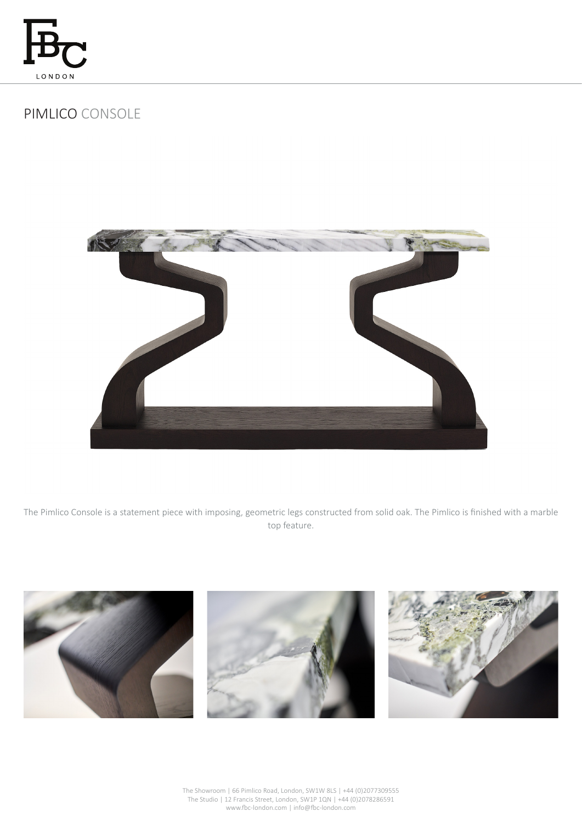

## PIMLICO CONSOLE



The Pimlico Console is a statement piece with imposing, geometric legs constructed from solid oak. The Pimlico is finished with a marble top feature.